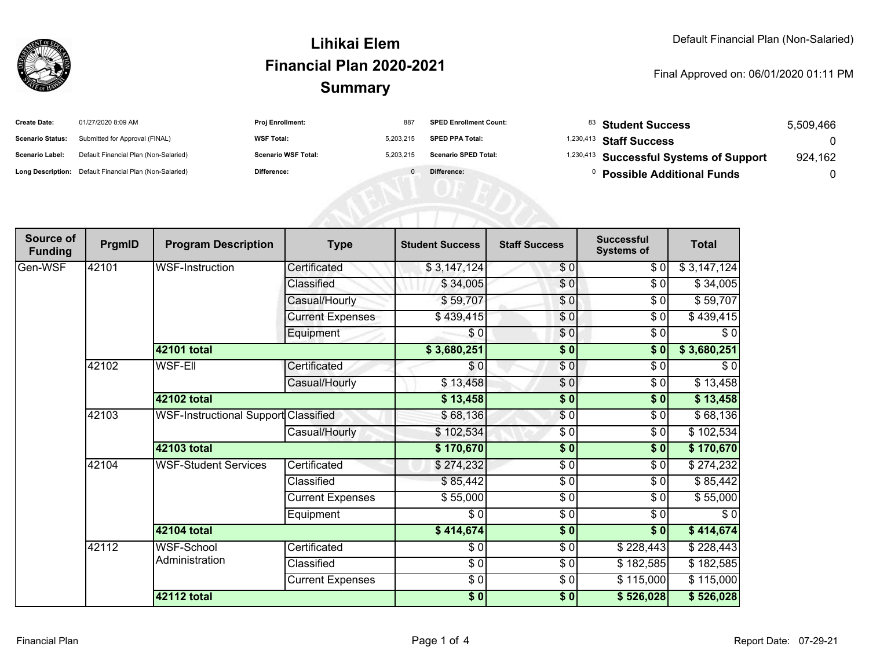

#### **SummaryLihikai ElemFinancial Plan 2020-2021**

#### Final Approved on: 06/01/2020 01:11 PM

| <b>Create Date:</b>     | 01/27/2020 8:09 AM                                      | Proj Enrollment:           | 887       | <b>SPED Enrollment Count:</b> | $^{83}$ Student Success                            | 5.509.466 |
|-------------------------|---------------------------------------------------------|----------------------------|-----------|-------------------------------|----------------------------------------------------|-----------|
| <b>Scenario Status:</b> | Submitted for Approval (FINAL)                          | <b>WSF Total:</b>          | 5.203.215 | <b>SPED PPA Total:</b>        | <sup>1,230,413</sup> Staff Success                 |           |
| <b>Scenario Label:</b>  | Default Financial Plan (Non-Salaried)                   | <b>Scenario WSF Total:</b> | 5.203.215 | <b>Scenario SPED Total:</b>   | <sup>1,230,413</sup> Successful Systems of Support | 924.162   |
|                         | Long Description: Default Financial Plan (Non-Salaried) | <b>Difference:</b>         |           | Difference:                   | <b>Possible Additional Funds</b>                   |           |

| Source of<br><b>Funding</b> | PrgmID | <b>Program Description</b>                  | <b>Type</b>             | <b>Student Success</b> | <b>Staff Success</b> | <b>Successful</b><br><b>Systems of</b> | <b>Total</b> |
|-----------------------------|--------|---------------------------------------------|-------------------------|------------------------|----------------------|----------------------------------------|--------------|
| Gen-WSF                     | 42101  | <b>WSF-Instruction</b>                      | Certificated            | \$3,147,124            | \$0                  | \$0                                    | \$3,147,124  |
|                             |        |                                             | Classified              | \$34,005               | \$0                  | \$0                                    | \$34,005     |
|                             |        |                                             | Casual/Hourly           | \$59,707               | \$0                  | \$0                                    | \$59,707     |
|                             |        |                                             | <b>Current Expenses</b> | \$439,415              | \$0                  | $\frac{1}{\sqrt{2}}$                   | \$439,415    |
|                             |        |                                             | Equipment               | $\frac{3}{2}$          | \$0                  | $\frac{1}{\sqrt{2}}$                   | $\sqrt{6}$   |
|                             |        | 42101 total                                 |                         | \$3,680,251            | \$0                  | \$0                                    | \$3,680,251  |
|                             | 42102  | <b>WSF-EII</b>                              | Certificated            | \$0                    | \$0                  | \$0                                    | \$0          |
|                             |        |                                             | Casual/Hourly           | \$13,458               | \$0                  | \$0                                    | \$13,458     |
|                             |        | 42102 total                                 |                         | \$13,458               | \$0                  | \$0                                    | \$13,458     |
|                             | 42103  | <b>WSF-Instructional Support Classified</b> |                         | \$68,136               | \$0                  | \$0                                    | \$68,136     |
|                             |        |                                             | Casual/Hourly           | \$102,534              | \$0                  | \$0                                    | \$102,534    |
|                             |        | 42103 total                                 |                         | \$170,670              | $\sqrt{6}$           | $\sqrt{6}$                             | \$170,670    |
|                             | 42104  | <b>WSF-Student Services</b>                 | Certificated            | \$274,232              | $\sqrt{6}$           | $\frac{1}{\sqrt{2}}$                   | \$274,232    |
|                             |        |                                             | Classified              | \$85,442               | $\sqrt{6}$           | \$0                                    | \$85,442     |
|                             |        |                                             | <b>Current Expenses</b> | \$55,000               | \$0                  | \$0                                    | \$55,000     |
|                             |        |                                             | Equipment               | \$0                    | \$0                  | \$0                                    | \$0          |
|                             |        | 42104 total                                 |                         | \$414,674]             | $\frac{1}{2}$        | \$0                                    | \$414,674    |
|                             | 42112  | <b>WSF-School</b><br>Administration         | Certificated            | \$0                    | \$0                  | \$228,443                              | \$228,443    |
|                             |        |                                             | Classified              | \$0                    | \$0                  | \$182,585                              | \$182,585    |
|                             |        |                                             | <b>Current Expenses</b> | $\frac{6}{6}$          | $\frac{6}{6}$        | \$115,000                              | \$115,000    |
|                             |        | <b>42112 total</b>                          |                         | $\frac{1}{2}$          | $\frac{1}{2}$        | \$526,028                              | \$526,028    |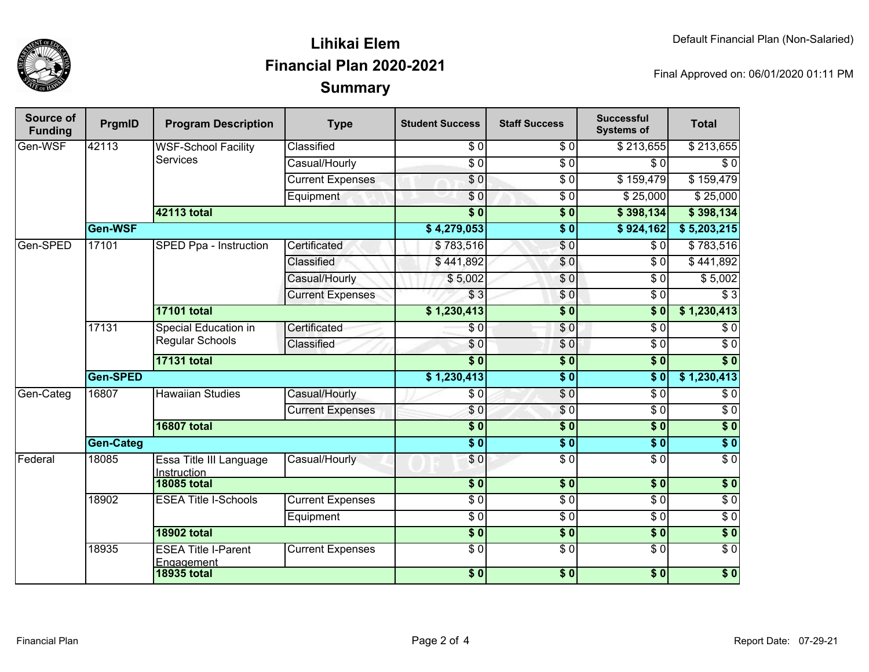

## **SummaryLihikai ElemFinancial Plan 2020-2021**

Final Approved on: 06/01/2020 01:11 PM

| <b>Source of</b><br><b>Funding</b> | PrgmID           | <b>Program Description</b>                     | <b>Type</b>             | <b>Student Success</b> | <b>Staff Success</b> | <b>Successful</b><br><b>Systems of</b> | <b>Total</b>     |            |
|------------------------------------|------------------|------------------------------------------------|-------------------------|------------------------|----------------------|----------------------------------------|------------------|------------|
| Gen-WSF                            | 42113            | <b>WSF-School Facility</b><br><b>Services</b>  | Classified              | $\overline{\$0}$       | $\overline{\$0}$     | \$213,655                              | \$213,655        |            |
|                                    |                  |                                                | Casual/Hourly           | $\overline{\$0}$       | $\overline{\$0}$     | \$0                                    | \$0              |            |
|                                    |                  |                                                | <b>Current Expenses</b> | $\overline{\$0}$       | $\overline{\$0}$     | \$159,479                              | \$159,479        |            |
|                                    |                  |                                                | Equipment               | \$0                    | $\sqrt{6}$           | \$25,000                               | \$25,000         |            |
|                                    |                  | <b>42113 total</b>                             |                         | $\overline{\$0}$       | $\overline{\$0}$     | \$398,134                              | \$398,134        |            |
|                                    | Gen-WSF          |                                                |                         | \$4,279,053            | $\overline{\$0}$     | \$924,162                              | \$5,203,215      |            |
| Gen-SPED                           | 17101            | SPED Ppa - Instruction                         | Certificated            | \$783,516              | \$0                  | \$0                                    | \$783,516        |            |
|                                    |                  |                                                | Classified              | \$441,892              | $\overline{\$0}$     | $\overline{30}$                        | \$441,892        |            |
|                                    |                  |                                                | Casual/Hourly           | \$5,002                | \$0                  | \$0                                    | \$5,002          |            |
|                                    |                  |                                                | <b>Current Expenses</b> | \$3                    | \$0                  | $\sqrt{6}$                             | $\overline{\$3}$ |            |
|                                    |                  | <b>17101 total</b>                             |                         | \$1,230,413            | $\overline{\$0}$     | $\overline{\$0}$                       | \$1,230,413      |            |
|                                    | 17131            | Special Education in<br><b>Regular Schools</b> | Certificated            | \$0                    | \$0                  | $\overline{\$0}$                       | $\overline{\$0}$ |            |
|                                    |                  |                                                | Classified              | \$0                    | \$0                  | $\overline{S}0$                        | $\overline{30}$  |            |
|                                    |                  | <b>17131 total</b>                             |                         | $\overline{\$0}$       | $\overline{\$0}$     | $\overline{\$0}$                       | $\overline{\$0}$ |            |
|                                    | <b>Gen-SPED</b>  |                                                |                         | \$1,230,413            | $\overline{\$0}$     | $\overline{\$0}$                       | \$1,230,413      |            |
| Gen-Categ                          | 16807            |                                                | <b>Hawaiian Studies</b> | Casual/Hourly          | \$0                  | $\sqrt{6}$                             | $\overline{\$0}$ | $\sqrt{6}$ |
|                                    |                  |                                                | <b>Current Expenses</b> | \$0                    | \$0                  | $\overline{\$0}$                       | $\sqrt{6}$       |            |
|                                    |                  | <b>16807 total</b>                             |                         | $\overline{\$0}$       | $\overline{\$0}$     | s <sub>0</sub>                         | $\overline{\$0}$ |            |
|                                    | <b>Gen-Categ</b> |                                                |                         | $\overline{\$0}$       | $\overline{\$0}$     | $\overline{\$0}$                       | $\overline{\$0}$ |            |
| Federal                            | 18085            | Essa Title III Language<br>Instruction         | Casual/Hourly           | \$0                    | $\overline{\$0}$     | $\overline{\$0}$                       | $\overline{60}$  |            |
|                                    |                  | <b>18085 total</b>                             |                         | $\overline{\$0}$       | $\overline{\$0}$     | $\overline{\$0}$                       | $\overline{\$0}$ |            |
|                                    | 18902            | <b>ESEA Title I-Schools</b>                    | <b>Current Expenses</b> | $\overline{\$0}$       | $\overline{\$0}$     | $\overline{\$0}$                       | $\overline{30}$  |            |
|                                    |                  |                                                | Equipment               | $\sqrt{6}$             | $\overline{\$0}$     | $\overline{\$0}$                       | $\overline{\$0}$ |            |
|                                    |                  | <b>18902 total</b>                             |                         | $\overline{\$}0$       | $\overline{\$0}$     | $\overline{\$0}$                       | $\overline{\$0}$ |            |
|                                    | 18935            | <b>ESEA Title I-Parent</b><br>Engagement       | <b>Current Expenses</b> | $\overline{\$0}$       | $\overline{\$0}$     | $\overline{\$0}$                       | $\overline{\$0}$ |            |
|                                    |                  | <b>18935 total</b>                             |                         | $\frac{1}{6}$          | $\overline{\bullet}$ | \$0                                    | $\overline{\$0}$ |            |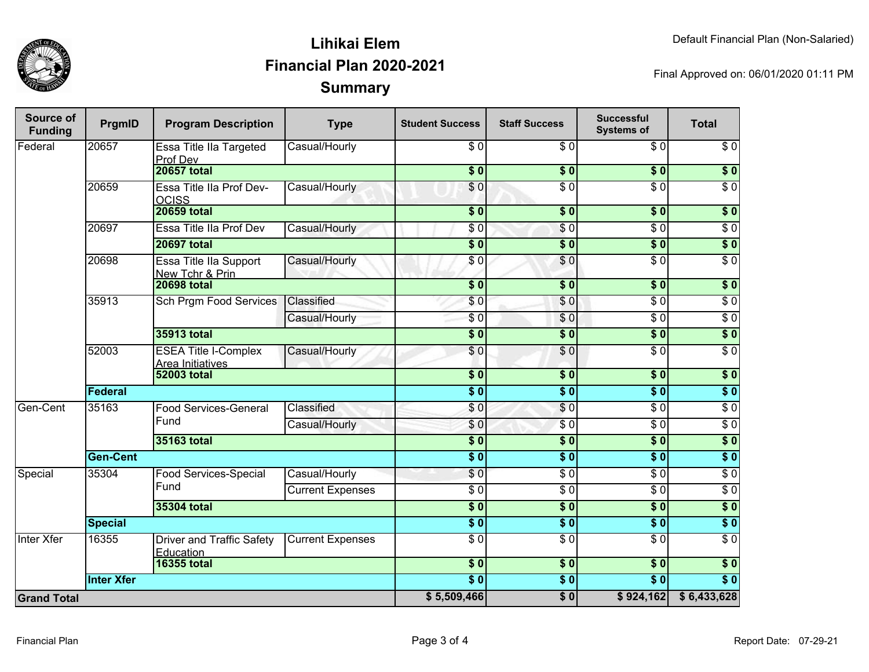

### **SummaryLihikai ElemFinancial Plan 2020-2021**

Final Approved on: 06/01/2020 01:11 PM

| Source of<br><b>Funding</b> | PrgmID            | <b>Program Description</b>                             | <b>Type</b>                  | <b>Student Success</b>   | <b>Staff Success</b> | <b>Successful</b><br><b>Systems of</b> | <b>Total</b>     |                  |
|-----------------------------|-------------------|--------------------------------------------------------|------------------------------|--------------------------|----------------------|----------------------------------------|------------------|------------------|
| Federal                     | 20657             | Essa Title IIa Targeted<br>Prof Dev                    | Casual/Hourly                | \$0                      | \$0                  | \$0                                    | \$0              |                  |
|                             |                   | <b>20657 total</b>                                     |                              | $\overline{\$0}$         | $\overline{\$0}$     | $\overline{\$0}$                       | $\overline{\$0}$ |                  |
|                             | 20659             | Essa Title IIa Prof Dev-<br><b>OCISS</b>               | Casual/Hourly                | $\overline{\$0}$         | $\overline{\$0}$     | $\overline{\$0}$                       | $\overline{\$0}$ |                  |
|                             |                   | <b>20659 total</b>                                     |                              | $\overline{\$0}$         | \$0                  | $\overline{\$0}$                       | $\sqrt{6}$       |                  |
|                             | 20697             | Essa Title IIa Prof Dev                                | Casual/Hourly                | \$0                      | \$0                  | $\overline{\$0}$                       | $\overline{\$0}$ |                  |
|                             |                   | <b>20697 total</b>                                     |                              | $\overline{\$0}$         | $\overline{\$0}$     | $\overline{\$0}$                       | \$0              |                  |
|                             | 20698             | Essa Title IIa Support<br>New Tchr & Prin              | Casual/Hourly                | \$0                      | \$0                  | $\overline{\$0}$                       | $\overline{\$0}$ |                  |
|                             |                   | <b>20698 total</b>                                     |                              | $\overline{\$0}$         | $\overline{\$0}$     | $\overline{\$0}$                       | $\overline{\$0}$ |                  |
|                             | 35913             | <b>Sch Prgm Food Services</b>                          | Classified                   | \$0                      | \$0                  | $\overline{\$0}$                       | $\sqrt{6}$       |                  |
|                             |                   |                                                        | Casual/Hourly                | $\sqrt{6}$               | \$0                  | $\overline{\$0}$                       | $\overline{\$0}$ |                  |
|                             |                   | <b>35913 total</b>                                     |                              | $\overline{\$0}$         | $\overline{\$0}$     | $\overline{\$0}$                       | $\overline{\$0}$ |                  |
|                             | 52003             | <b>ESEA Title I-Complex</b><br><b>Area Initiatives</b> | Casual/Hourly                | \$0                      | $\overline{30}$      | $\overline{\$0}$                       | $\overline{\$0}$ |                  |
|                             |                   | <b>52003 total</b>                                     |                              | $\overline{\textbf{50}}$ | \$0                  | \$0                                    | \$0              |                  |
|                             | <b>Federal</b>    |                                                        |                              | $\overline{\bullet}$     | $\overline{\$0}$     | $\overline{\$0}$                       | $\overline{\$0}$ |                  |
| Gen-Cent                    | 35163             |                                                        | <b>Food Services-General</b> | Classified               | \$0                  | \$0                                    | $\overline{\$0}$ | $\overline{\$0}$ |
|                             |                   | Fund                                                   | Casual/Hourly                | \$0                      | $\overline{\$0}$     | $\overline{\$0}$                       | $\overline{\$0}$ |                  |
|                             |                   | 35163 total                                            |                              | $\overline{\$0}$         | $\overline{\$0}$     | $\overline{\$0}$                       | $\overline{\$0}$ |                  |
|                             | <b>Gen-Cent</b>   |                                                        |                              | $\overline{\$0}$         | $\overline{\$0}$     | $\overline{\$0}$                       | $\overline{\$0}$ |                  |
| Special                     | 35304             | Food Services-Special<br>Fund                          | Casual/Hourly                | \$0                      | $\overline{\$0}$     | $\overline{\$0}$                       | $\overline{\$0}$ |                  |
|                             |                   |                                                        | <b>Current Expenses</b>      | $\overline{\$0}$         | $\overline{\$0}$     | $\overline{\$0}$                       | $\overline{\$0}$ |                  |
|                             |                   | 35304 total                                            |                              | $\overline{\$0}$         | $\overline{\$0}$     | $\overline{\$0}$                       | $\overline{\$0}$ |                  |
|                             | <b>Special</b>    |                                                        |                              | $\overline{\$0}$         | $\sqrt{6}$           | $\overline{\$0}$                       | $\overline{\$0}$ |                  |
| Inter Xfer                  | 16355             | <b>Driver and Traffic Safety</b><br>Education          | <b>Current Expenses</b>      | $\overline{\$0}$         | $\overline{\$0}$     | $\overline{\$0}$                       | $\overline{\$0}$ |                  |
|                             |                   | <b>16355 total</b>                                     |                              | $\overline{\$0}$         | $\overline{\$0}$     | $\overline{\$0}$                       | $\sqrt{6}$       |                  |
|                             | <b>Inter Xfer</b> |                                                        |                              | $\overline{\$0}$         | $\overline{\$0}$     | $\overline{\$0}$                       | $\overline{\$0}$ |                  |
| <b>Grand Total</b>          |                   |                                                        | \$5,509,466                  | $\overline{\$0}$         | \$924,162            | \$6,433,628                            |                  |                  |